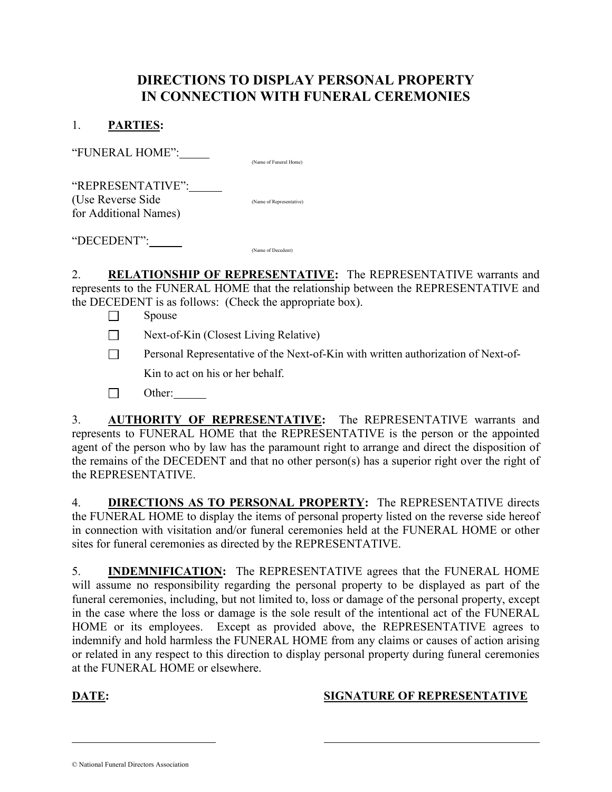# DIRECTIONS TO DISPLAY PERSONAL PROPERTY IN CONNECTION WITH FUNERAL CEREMONIES

#### 1. PARTIES:

"FUNERAL HOME":

(Name of Funeral Home)

"REPRESENTATIVE": (Use Reverse Side (Name of Representative) for Additional Names)

"DECEDENT": (Name of Decedent)

2. RELATIONSHIP OF REPRESENTATIVE: The REPRESENTATIVE warrants and represents to the FUNERAL HOME that the relationship between the REPRESENTATIVE and the DECEDENT is as follows: (Check the appropriate box).

- $\Box$  Spouse
- $\Box$  Next-of-Kin (Closest Living Relative)
- **Personal Representative of the Next-of-Kin with written authorization of Next-of-**

Kin to act on his or her behalf.

 $\Box$  Other:  $\Box$ 

3. **AUTHORITY OF REPRESENTATIVE:** The REPRESENTATIVE warrants and represents to FUNERAL HOME that the REPRESENTATIVE is the person or the appointed agent of the person who by law has the paramount right to arrange and direct the disposition of the remains of the DECEDENT and that no other person(s) has a superior right over the right of the REPRESENTATIVE.

4. **DIRECTIONS AS TO PERSONAL PROPERTY:** The REPRESENTATIVE directs the FUNERAL HOME to display the items of personal property listed on the reverse side hereof in connection with visitation and/or funeral ceremonies held at the FUNERAL HOME or other sites for funeral ceremonies as directed by the REPRESENTATIVE.

5. INDEMNIFICATION: The REPRESENTATIVE agrees that the FUNERAL HOME will assume no responsibility regarding the personal property to be displayed as part of the funeral ceremonies, including, but not limited to, loss or damage of the personal property, except in the case where the loss or damage is the sole result of the intentional act of the FUNERAL HOME or its employees. Except as provided above, the REPRESENTATIVE agrees to indemnify and hold harmless the FUNERAL HOME from any claims or causes of action arising or related in any respect to this direction to display personal property during funeral ceremonies at the FUNERAL HOME or elsewhere.

 $\overline{a}$ 

### DATE: SIGNATURE OF REPRESENTATIVE

<sup>©</sup> National Funeral Directors Association